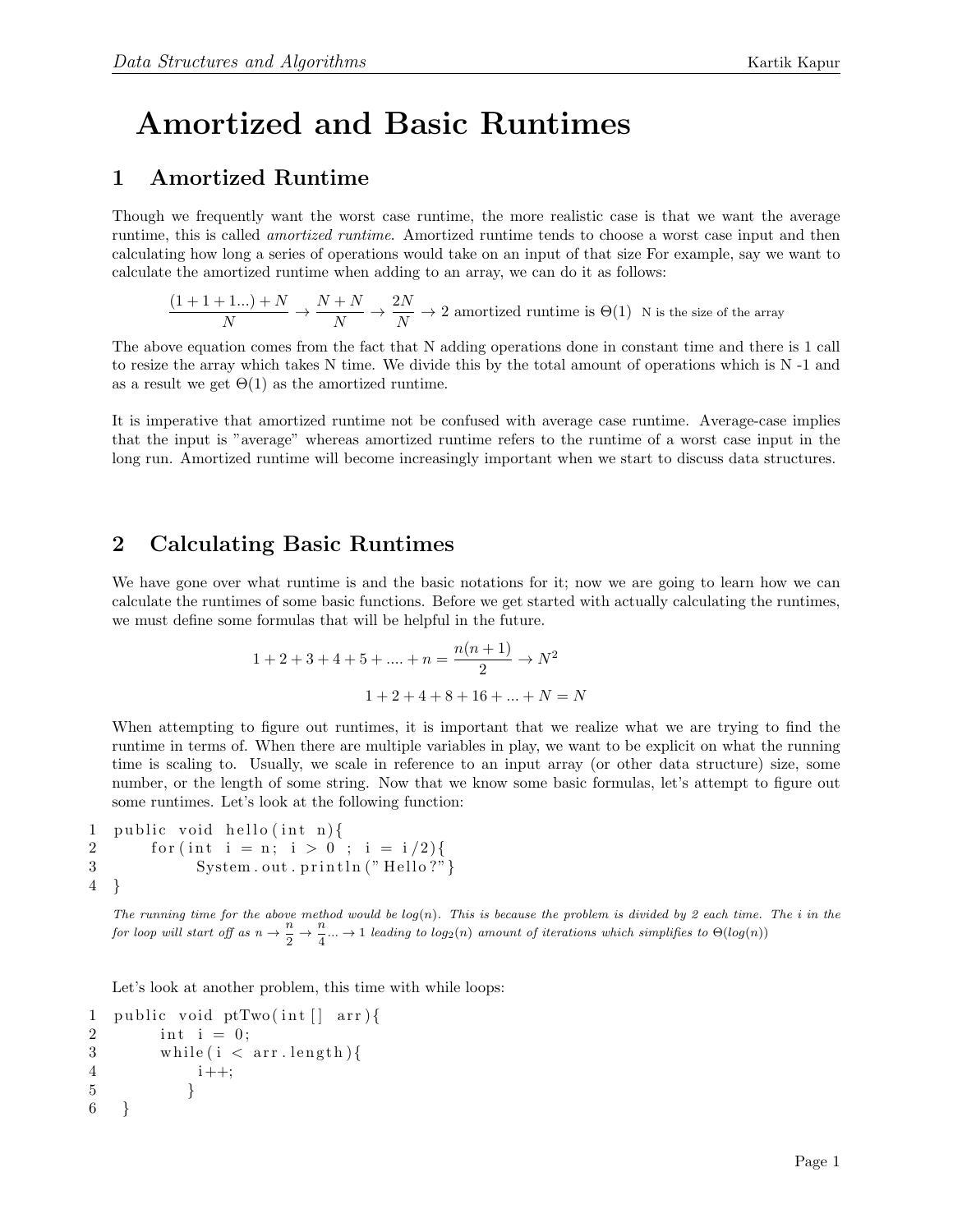## Amortized and Basic Runtimes

## 1 Amortized Runtime

Though we frequently want the worst case runtime, the more realistic case is that we want the average runtime, this is called amortized runtime. Amortized runtime tends to choose a worst case input and then calculating how long a series of operations would take on an input of that size For example, say we want to calculate the amortized runtime when adding to an array, we can do it as follows:

$$
\frac{(1+1+1...)+N}{N}\rightarrow \frac{N+N}{N}\rightarrow \frac{2N}{N}\rightarrow 2\text{ amotized runtime is }\Theta(1)\ \ \text{N is the size of the array}
$$

The above equation comes from the fact that N adding operations done in constant time and there is 1 call to resize the array which takes N time. We divide this by the total amount of operations which is N -1 and as a result we get  $\Theta(1)$  as the amortized runtime.

It is imperative that amortized runtime not be confused with average case runtime. Average-case implies that the input is "average" whereas amortized runtime refers to the runtime of a worst case input in the long run. Amortized runtime will become increasingly important when we start to discuss data structures.

## 2 Calculating Basic Runtimes

We have gone over what runtime is and the basic notations for it; now we are going to learn how we can calculate the runtimes of some basic functions. Before we get started with actually calculating the runtimes, we must define some formulas that will be helpful in the future.

$$
1 + 2 + 3 + 4 + 5 + \dots + n = \frac{n(n+1)}{2} \to N^2
$$

$$
1 + 2 + 4 + 8 + 16 + \dots + N = N
$$

When attempting to figure out runtimes, it is important that we realize what we are trying to find the runtime in terms of. When there are multiple variables in play, we want to be explicit on what the running time is scaling to. Usually, we scale in reference to an input array (or other data structure) size, some number, or the length of some string. Now that we know some basic formulas, let's attempt to figure out some runtimes. Let's look at the following function:

```
1 public void hello (int n) {
2 for (int i = n; i > 0; i = i/2){
3 System.out.println("Hello?"}
4 }
```
The running time for the above method would be  $log(n)$ . This is because the problem is divided by 2 each time. The i in the for loop will start off as  $n \to \frac{n}{2}$  $\frac{n}{2} \rightarrow \frac{n}{4}$  $\frac{1}{4}$ ...  $\rightarrow$  1 leading to log<sub>2</sub>(n) amount of iterations which simplifies to  $\Theta(log(n))$ 

Let's look at another problem, this time with while loops:

```
1 public void ptTwo(int \begin{bmatrix} \cdot & \cdot & \cdot \\ \cdot & \cdot & \cdot & \cdot \end{bmatrix}2 int i = 0;
3 while (i < arr.length) {
4 i ++;
5 }
6 }
```